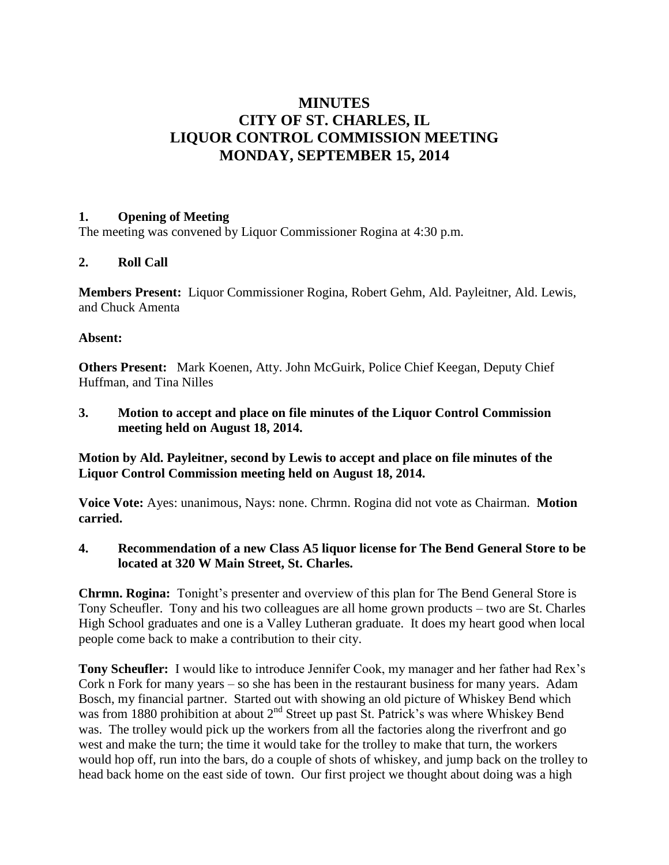# **MINUTES CITY OF ST. CHARLES, IL LIQUOR CONTROL COMMISSION MEETING MONDAY, SEPTEMBER 15, 2014**

### **1. Opening of Meeting**

The meeting was convened by Liquor Commissioner Rogina at 4:30 p.m.

# **2. Roll Call**

**Members Present:** Liquor Commissioner Rogina, Robert Gehm, Ald. Payleitner, Ald. Lewis, and Chuck Amenta

### **Absent:**

**Others Present:** Mark Koenen, Atty. John McGuirk, Police Chief Keegan, Deputy Chief Huffman, and Tina Nilles

**3. Motion to accept and place on file minutes of the Liquor Control Commission meeting held on August 18, 2014.**

**Motion by Ald. Payleitner, second by Lewis to accept and place on file minutes of the Liquor Control Commission meeting held on August 18, 2014.**

**Voice Vote:** Ayes: unanimous, Nays: none. Chrmn. Rogina did not vote as Chairman. **Motion carried.**

### **4. Recommendation of a new Class A5 liquor license for The Bend General Store to be located at 320 W Main Street, St. Charles.**

**Chrmn. Rogina:** Tonight's presenter and overview of this plan for The Bend General Store is Tony Scheufler. Tony and his two colleagues are all home grown products – two are St. Charles High School graduates and one is a Valley Lutheran graduate. It does my heart good when local people come back to make a contribution to their city.

**Tony Scheufler:** I would like to introduce Jennifer Cook, my manager and her father had Rex's Cork n Fork for many years – so she has been in the restaurant business for many years. Adam Bosch, my financial partner. Started out with showing an old picture of Whiskey Bend which was from 1880 prohibition at about 2<sup>nd</sup> Street up past St. Patrick's was where Whiskey Bend was. The trolley would pick up the workers from all the factories along the riverfront and go west and make the turn; the time it would take for the trolley to make that turn, the workers would hop off, run into the bars, do a couple of shots of whiskey, and jump back on the trolley to head back home on the east side of town. Our first project we thought about doing was a high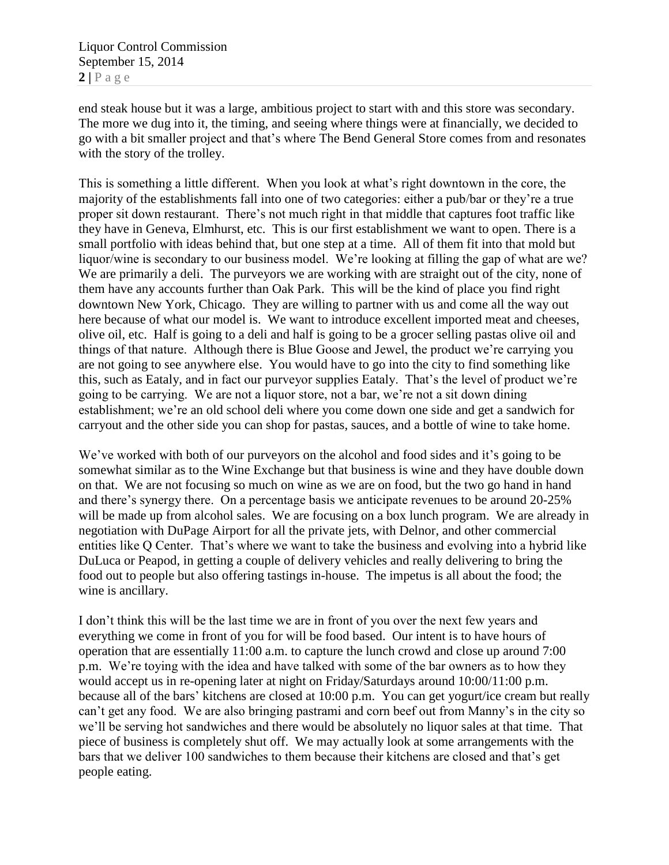end steak house but it was a large, ambitious project to start with and this store was secondary. The more we dug into it, the timing, and seeing where things were at financially, we decided to go with a bit smaller project and that's where The Bend General Store comes from and resonates with the story of the trolley.

This is something a little different. When you look at what's right downtown in the core, the majority of the establishments fall into one of two categories: either a pub/bar or they're a true proper sit down restaurant. There's not much right in that middle that captures foot traffic like they have in Geneva, Elmhurst, etc. This is our first establishment we want to open. There is a small portfolio with ideas behind that, but one step at a time. All of them fit into that mold but liquor/wine is secondary to our business model. We're looking at filling the gap of what are we? We are primarily a deli. The purveyors we are working with are straight out of the city, none of them have any accounts further than Oak Park. This will be the kind of place you find right downtown New York, Chicago. They are willing to partner with us and come all the way out here because of what our model is. We want to introduce excellent imported meat and cheeses, olive oil, etc. Half is going to a deli and half is going to be a grocer selling pastas olive oil and things of that nature. Although there is Blue Goose and Jewel, the product we're carrying you are not going to see anywhere else. You would have to go into the city to find something like this, such as Eataly, and in fact our purveyor supplies Eataly. That's the level of product we're going to be carrying. We are not a liquor store, not a bar, we're not a sit down dining establishment; we're an old school deli where you come down one side and get a sandwich for carryout and the other side you can shop for pastas, sauces, and a bottle of wine to take home.

We've worked with both of our purveyors on the alcohol and food sides and it's going to be somewhat similar as to the Wine Exchange but that business is wine and they have double down on that. We are not focusing so much on wine as we are on food, but the two go hand in hand and there's synergy there. On a percentage basis we anticipate revenues to be around 20-25% will be made up from alcohol sales. We are focusing on a box lunch program. We are already in negotiation with DuPage Airport for all the private jets, with Delnor, and other commercial entities like Q Center. That's where we want to take the business and evolving into a hybrid like DuLuca or Peapod, in getting a couple of delivery vehicles and really delivering to bring the food out to people but also offering tastings in-house. The impetus is all about the food; the wine is ancillary.

I don't think this will be the last time we are in front of you over the next few years and everything we come in front of you for will be food based. Our intent is to have hours of operation that are essentially 11:00 a.m. to capture the lunch crowd and close up around 7:00 p.m. We're toying with the idea and have talked with some of the bar owners as to how they would accept us in re-opening later at night on Friday/Saturdays around 10:00/11:00 p.m. because all of the bars' kitchens are closed at 10:00 p.m. You can get yogurt/ice cream but really can't get any food. We are also bringing pastrami and corn beef out from Manny's in the city so we'll be serving hot sandwiches and there would be absolutely no liquor sales at that time. That piece of business is completely shut off. We may actually look at some arrangements with the bars that we deliver 100 sandwiches to them because their kitchens are closed and that's get people eating.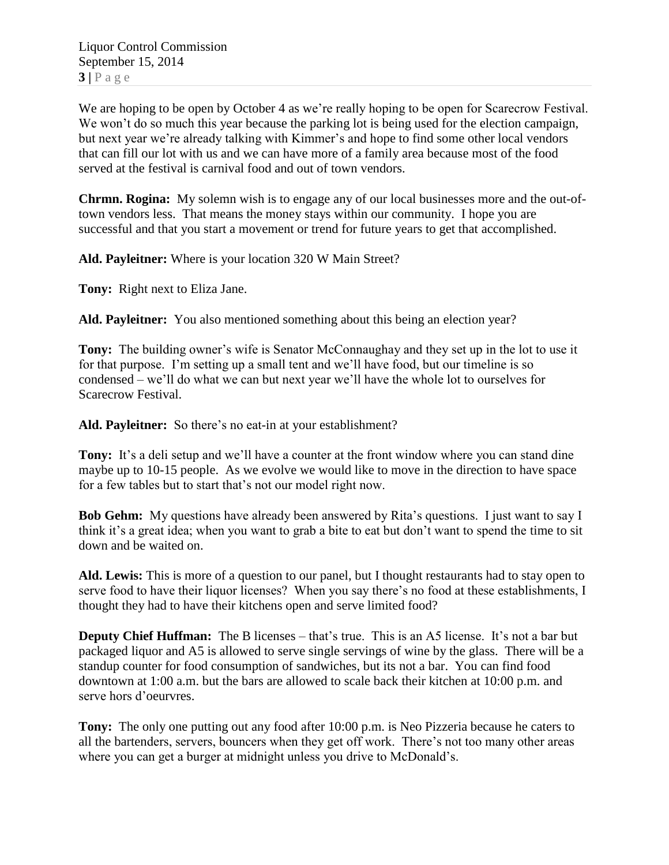We are hoping to be open by October 4 as we're really hoping to be open for Scarecrow Festival. We won't do so much this year because the parking lot is being used for the election campaign, but next year we're already talking with Kimmer's and hope to find some other local vendors that can fill our lot with us and we can have more of a family area because most of the food served at the festival is carnival food and out of town vendors.

**Chrmn. Rogina:** My solemn wish is to engage any of our local businesses more and the out-oftown vendors less. That means the money stays within our community. I hope you are successful and that you start a movement or trend for future years to get that accomplished.

**Ald. Payleitner:** Where is your location 320 W Main Street?

**Tony:** Right next to Eliza Jane.

**Ald. Payleitner:** You also mentioned something about this being an election year?

**Tony:** The building owner's wife is Senator McConnaughay and they set up in the lot to use it for that purpose. I'm setting up a small tent and we'll have food, but our timeline is so condensed – we'll do what we can but next year we'll have the whole lot to ourselves for Scarecrow Festival.

**Ald. Payleitner:** So there's no eat-in at your establishment?

**Tony:** It's a deli setup and we'll have a counter at the front window where you can stand dine maybe up to 10-15 people. As we evolve we would like to move in the direction to have space for a few tables but to start that's not our model right now.

**Bob Gehm:** My questions have already been answered by Rita's questions. I just want to say I think it's a great idea; when you want to grab a bite to eat but don't want to spend the time to sit down and be waited on.

**Ald. Lewis:** This is more of a question to our panel, but I thought restaurants had to stay open to serve food to have their liquor licenses? When you say there's no food at these establishments, I thought they had to have their kitchens open and serve limited food?

**Deputy Chief Huffman:** The B licenses – that's true. This is an A5 license. It's not a bar but packaged liquor and A5 is allowed to serve single servings of wine by the glass. There will be a standup counter for food consumption of sandwiches, but its not a bar. You can find food downtown at 1:00 a.m. but the bars are allowed to scale back their kitchen at 10:00 p.m. and serve hors d'oeurvres.

**Tony:** The only one putting out any food after 10:00 p.m. is Neo Pizzeria because he caters to all the bartenders, servers, bouncers when they get off work. There's not too many other areas where you can get a burger at midnight unless you drive to McDonald's.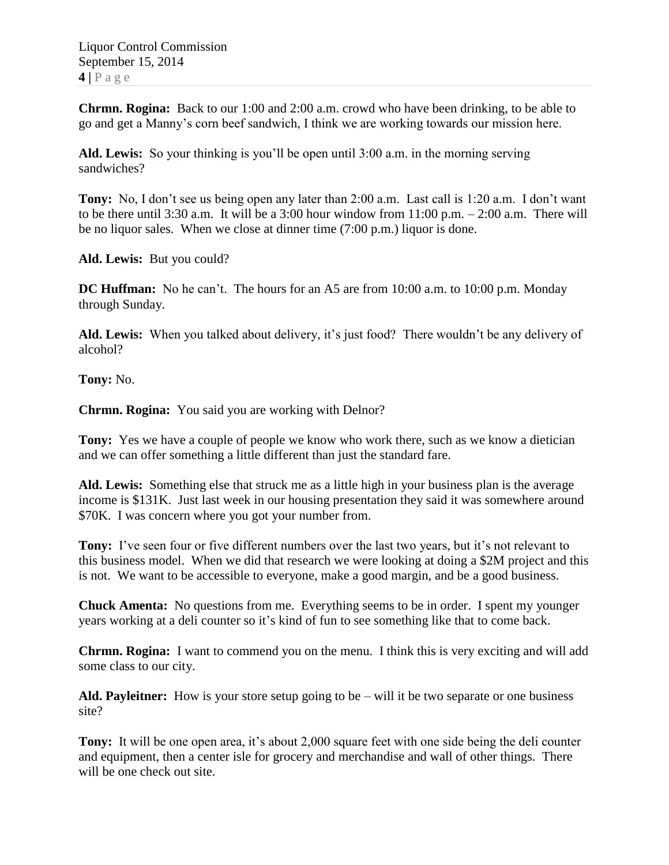**Chrmn. Rogina:** Back to our 1:00 and 2:00 a.m. crowd who have been drinking, to be able to go and get a Manny's corn beef sandwich, I think we are working towards our mission here.

**Ald. Lewis:** So your thinking is you'll be open until 3:00 a.m. in the morning serving sandwiches?

**Tony:** No, I don't see us being open any later than 2:00 a.m. Last call is 1:20 a.m. I don't want to be there until 3:30 a.m. It will be a 3:00 hour window from 11:00 p.m. – 2:00 a.m. There will be no liquor sales. When we close at dinner time (7:00 p.m.) liquor is done.

**Ald. Lewis:** But you could?

**DC Huffman:** No he can't. The hours for an A5 are from 10:00 a.m. to 10:00 p.m. Monday through Sunday.

**Ald. Lewis:** When you talked about delivery, it's just food? There wouldn't be any delivery of alcohol?

**Tony:** No.

**Chrmn. Rogina:** You said you are working with Delnor?

**Tony:** Yes we have a couple of people we know who work there, such as we know a dietician and we can offer something a little different than just the standard fare.

**Ald. Lewis:** Something else that struck me as a little high in your business plan is the average income is \$131K. Just last week in our housing presentation they said it was somewhere around \$70K. I was concern where you got your number from.

**Tony:** I've seen four or five different numbers over the last two years, but it's not relevant to this business model. When we did that research we were looking at doing a \$2M project and this is not. We want to be accessible to everyone, make a good margin, and be a good business.

**Chuck Amenta:** No questions from me. Everything seems to be in order. I spent my younger years working at a deli counter so it's kind of fun to see something like that to come back.

**Chrmn. Rogina:** I want to commend you on the menu. I think this is very exciting and will add some class to our city.

**Ald. Payleitner:** How is your store setup going to be – will it be two separate or one business site?

**Tony:** It will be one open area, it's about 2,000 square feet with one side being the deli counter and equipment, then a center isle for grocery and merchandise and wall of other things. There will be one check out site.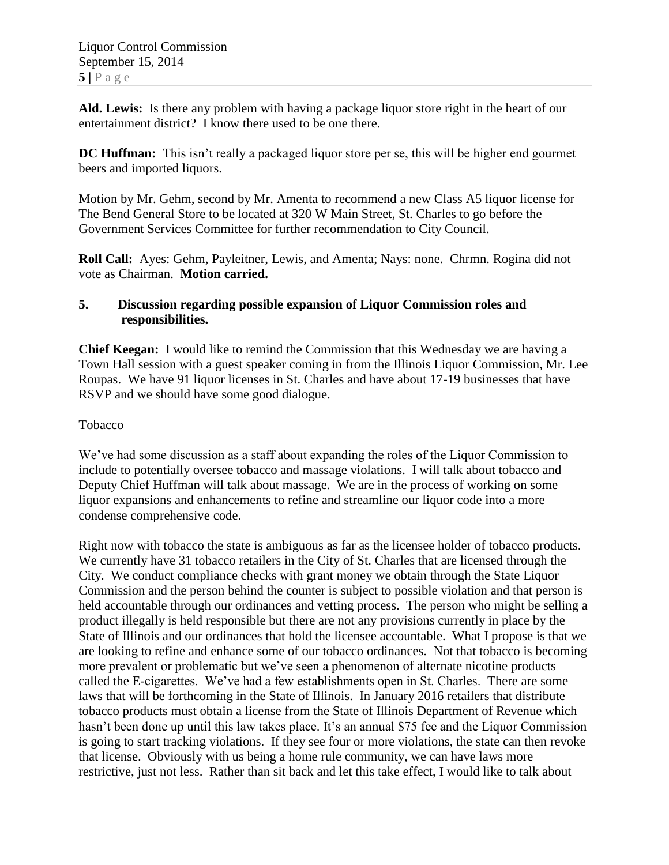**Ald. Lewis:** Is there any problem with having a package liquor store right in the heart of our entertainment district? I know there used to be one there.

**DC Huffman:** This isn't really a packaged liquor store per se, this will be higher end gourmet beers and imported liquors.

Motion by Mr. Gehm, second by Mr. Amenta to recommend a new Class A5 liquor license for The Bend General Store to be located at 320 W Main Street, St. Charles to go before the Government Services Committee for further recommendation to City Council.

**Roll Call:** Ayes: Gehm, Payleitner, Lewis, and Amenta; Nays: none. Chrmn. Rogina did not vote as Chairman. **Motion carried.**

### **5. Discussion regarding possible expansion of Liquor Commission roles and responsibilities.**

**Chief Keegan:** I would like to remind the Commission that this Wednesday we are having a Town Hall session with a guest speaker coming in from the Illinois Liquor Commission, Mr. Lee Roupas. We have 91 liquor licenses in St. Charles and have about 17-19 businesses that have RSVP and we should have some good dialogue.

# Tobacco

We've had some discussion as a staff about expanding the roles of the Liquor Commission to include to potentially oversee tobacco and massage violations. I will talk about tobacco and Deputy Chief Huffman will talk about massage. We are in the process of working on some liquor expansions and enhancements to refine and streamline our liquor code into a more condense comprehensive code.

Right now with tobacco the state is ambiguous as far as the licensee holder of tobacco products. We currently have 31 tobacco retailers in the City of St. Charles that are licensed through the City. We conduct compliance checks with grant money we obtain through the State Liquor Commission and the person behind the counter is subject to possible violation and that person is held accountable through our ordinances and vetting process. The person who might be selling a product illegally is held responsible but there are not any provisions currently in place by the State of Illinois and our ordinances that hold the licensee accountable. What I propose is that we are looking to refine and enhance some of our tobacco ordinances. Not that tobacco is becoming more prevalent or problematic but we've seen a phenomenon of alternate nicotine products called the E-cigarettes. We've had a few establishments open in St. Charles. There are some laws that will be forthcoming in the State of Illinois. In January 2016 retailers that distribute tobacco products must obtain a license from the State of Illinois Department of Revenue which hasn't been done up until this law takes place. It's an annual \$75 fee and the Liquor Commission is going to start tracking violations. If they see four or more violations, the state can then revoke that license. Obviously with us being a home rule community, we can have laws more restrictive, just not less. Rather than sit back and let this take effect, I would like to talk about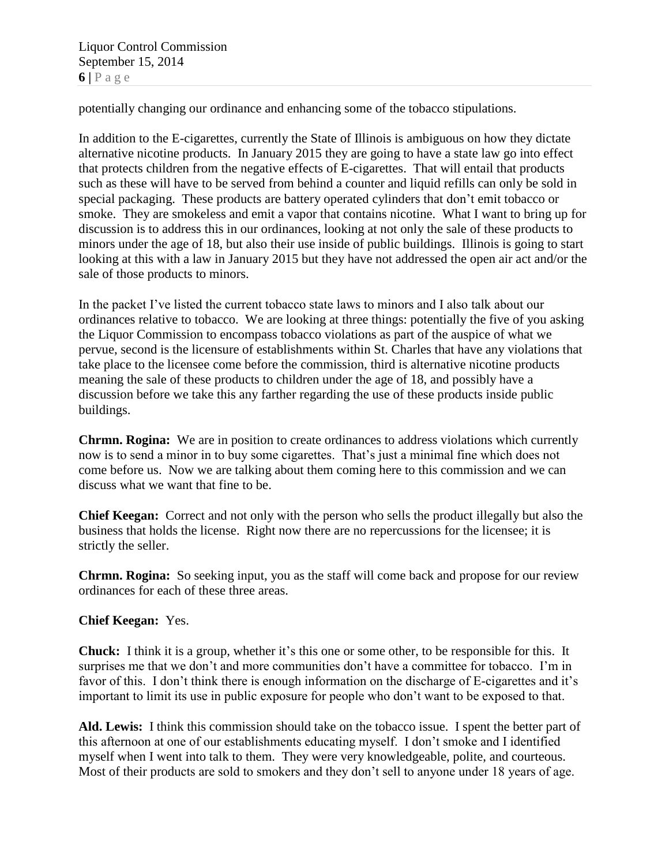Liquor Control Commission September 15, 2014  $6$  | P a g e

potentially changing our ordinance and enhancing some of the tobacco stipulations.

In addition to the E-cigarettes, currently the State of Illinois is ambiguous on how they dictate alternative nicotine products. In January 2015 they are going to have a state law go into effect that protects children from the negative effects of E-cigarettes. That will entail that products such as these will have to be served from behind a counter and liquid refills can only be sold in special packaging. These products are battery operated cylinders that don't emit tobacco or smoke. They are smokeless and emit a vapor that contains nicotine. What I want to bring up for discussion is to address this in our ordinances, looking at not only the sale of these products to minors under the age of 18, but also their use inside of public buildings. Illinois is going to start looking at this with a law in January 2015 but they have not addressed the open air act and/or the sale of those products to minors.

In the packet I've listed the current tobacco state laws to minors and I also talk about our ordinances relative to tobacco. We are looking at three things: potentially the five of you asking the Liquor Commission to encompass tobacco violations as part of the auspice of what we pervue, second is the licensure of establishments within St. Charles that have any violations that take place to the licensee come before the commission, third is alternative nicotine products meaning the sale of these products to children under the age of 18, and possibly have a discussion before we take this any farther regarding the use of these products inside public buildings.

**Chrmn. Rogina:** We are in position to create ordinances to address violations which currently now is to send a minor in to buy some cigarettes. That's just a minimal fine which does not come before us. Now we are talking about them coming here to this commission and we can discuss what we want that fine to be.

**Chief Keegan:** Correct and not only with the person who sells the product illegally but also the business that holds the license. Right now there are no repercussions for the licensee; it is strictly the seller.

**Chrmn. Rogina:** So seeking input, you as the staff will come back and propose for our review ordinances for each of these three areas.

### **Chief Keegan:** Yes.

**Chuck:** I think it is a group, whether it's this one or some other, to be responsible for this. It surprises me that we don't and more communities don't have a committee for tobacco. I'm in favor of this. I don't think there is enough information on the discharge of E-cigarettes and it's important to limit its use in public exposure for people who don't want to be exposed to that.

**Ald. Lewis:** I think this commission should take on the tobacco issue. I spent the better part of this afternoon at one of our establishments educating myself. I don't smoke and I identified myself when I went into talk to them. They were very knowledgeable, polite, and courteous. Most of their products are sold to smokers and they don't sell to anyone under 18 years of age.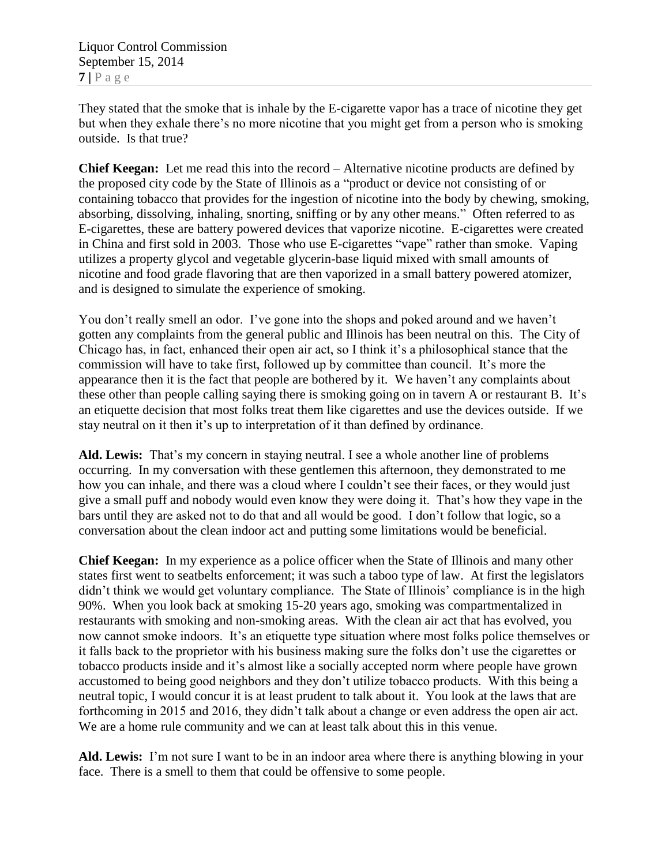They stated that the smoke that is inhale by the E-cigarette vapor has a trace of nicotine they get but when they exhale there's no more nicotine that you might get from a person who is smoking outside. Is that true?

**Chief Keegan:** Let me read this into the record – Alternative nicotine products are defined by the proposed city code by the State of Illinois as a "product or device not consisting of or containing tobacco that provides for the ingestion of nicotine into the body by chewing, smoking, absorbing, dissolving, inhaling, snorting, sniffing or by any other means." Often referred to as E-cigarettes, these are battery powered devices that vaporize nicotine. E-cigarettes were created in China and first sold in 2003. Those who use E-cigarettes "vape" rather than smoke. Vaping utilizes a property glycol and vegetable glycerin-base liquid mixed with small amounts of nicotine and food grade flavoring that are then vaporized in a small battery powered atomizer, and is designed to simulate the experience of smoking.

You don't really smell an odor. I've gone into the shops and poked around and we haven't gotten any complaints from the general public and Illinois has been neutral on this. The City of Chicago has, in fact, enhanced their open air act, so I think it's a philosophical stance that the commission will have to take first, followed up by committee than council. It's more the appearance then it is the fact that people are bothered by it. We haven't any complaints about these other than people calling saying there is smoking going on in tavern A or restaurant B. It's an etiquette decision that most folks treat them like cigarettes and use the devices outside. If we stay neutral on it then it's up to interpretation of it than defined by ordinance.

**Ald. Lewis:** That's my concern in staying neutral. I see a whole another line of problems occurring. In my conversation with these gentlemen this afternoon, they demonstrated to me how you can inhale, and there was a cloud where I couldn't see their faces, or they would just give a small puff and nobody would even know they were doing it. That's how they vape in the bars until they are asked not to do that and all would be good. I don't follow that logic, so a conversation about the clean indoor act and putting some limitations would be beneficial.

**Chief Keegan:** In my experience as a police officer when the State of Illinois and many other states first went to seatbelts enforcement; it was such a taboo type of law. At first the legislators didn't think we would get voluntary compliance. The State of Illinois' compliance is in the high 90%. When you look back at smoking 15-20 years ago, smoking was compartmentalized in restaurants with smoking and non-smoking areas. With the clean air act that has evolved, you now cannot smoke indoors. It's an etiquette type situation where most folks police themselves or it falls back to the proprietor with his business making sure the folks don't use the cigarettes or tobacco products inside and it's almost like a socially accepted norm where people have grown accustomed to being good neighbors and they don't utilize tobacco products. With this being a neutral topic, I would concur it is at least prudent to talk about it. You look at the laws that are forthcoming in 2015 and 2016, they didn't talk about a change or even address the open air act. We are a home rule community and we can at least talk about this in this venue.

**Ald. Lewis:** I'm not sure I want to be in an indoor area where there is anything blowing in your face. There is a smell to them that could be offensive to some people.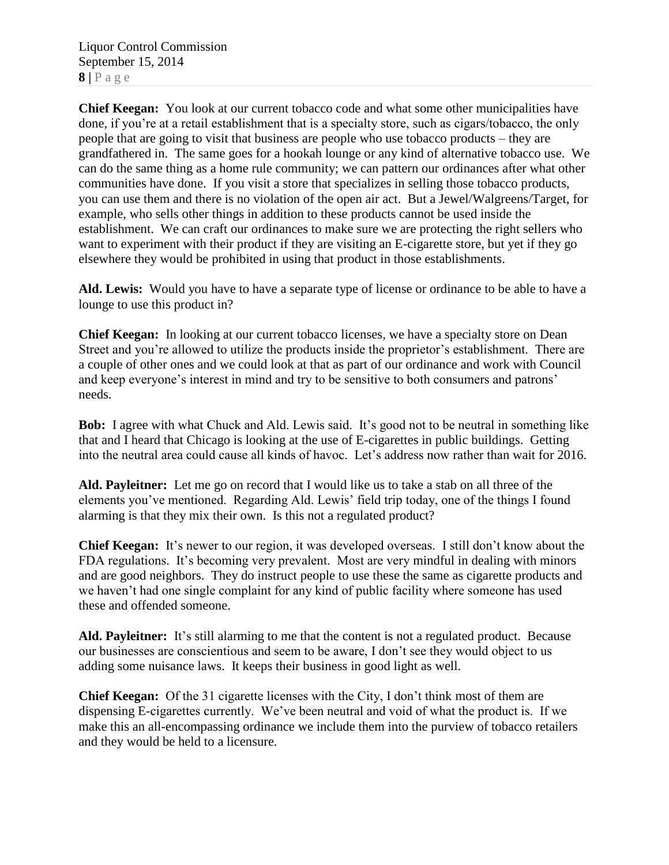Liquor Control Commission September 15, 2014  $8 | P a g e$ 

**Chief Keegan:** You look at our current tobacco code and what some other municipalities have done, if you're at a retail establishment that is a specialty store, such as cigars/tobacco, the only people that are going to visit that business are people who use tobacco products – they are grandfathered in. The same goes for a hookah lounge or any kind of alternative tobacco use. We can do the same thing as a home rule community; we can pattern our ordinances after what other communities have done. If you visit a store that specializes in selling those tobacco products, you can use them and there is no violation of the open air act. But a Jewel/Walgreens/Target, for example, who sells other things in addition to these products cannot be used inside the establishment. We can craft our ordinances to make sure we are protecting the right sellers who want to experiment with their product if they are visiting an E-cigarette store, but yet if they go elsewhere they would be prohibited in using that product in those establishments.

**Ald. Lewis:** Would you have to have a separate type of license or ordinance to be able to have a lounge to use this product in?

**Chief Keegan:** In looking at our current tobacco licenses, we have a specialty store on Dean Street and you're allowed to utilize the products inside the proprietor's establishment. There are a couple of other ones and we could look at that as part of our ordinance and work with Council and keep everyone's interest in mind and try to be sensitive to both consumers and patrons' needs.

**Bob:** I agree with what Chuck and Ald. Lewis said. It's good not to be neutral in something like that and I heard that Chicago is looking at the use of E-cigarettes in public buildings. Getting into the neutral area could cause all kinds of havoc. Let's address now rather than wait for 2016.

**Ald. Payleitner:** Let me go on record that I would like us to take a stab on all three of the elements you've mentioned. Regarding Ald. Lewis' field trip today, one of the things I found alarming is that they mix their own. Is this not a regulated product?

**Chief Keegan:** It's newer to our region, it was developed overseas. I still don't know about the FDA regulations. It's becoming very prevalent. Most are very mindful in dealing with minors and are good neighbors. They do instruct people to use these the same as cigarette products and we haven't had one single complaint for any kind of public facility where someone has used these and offended someone.

**Ald. Payleitner:** It's still alarming to me that the content is not a regulated product. Because our businesses are conscientious and seem to be aware, I don't see they would object to us adding some nuisance laws. It keeps their business in good light as well.

**Chief Keegan:** Of the 31 cigarette licenses with the City, I don't think most of them are dispensing E-cigarettes currently. We've been neutral and void of what the product is. If we make this an all-encompassing ordinance we include them into the purview of tobacco retailers and they would be held to a licensure.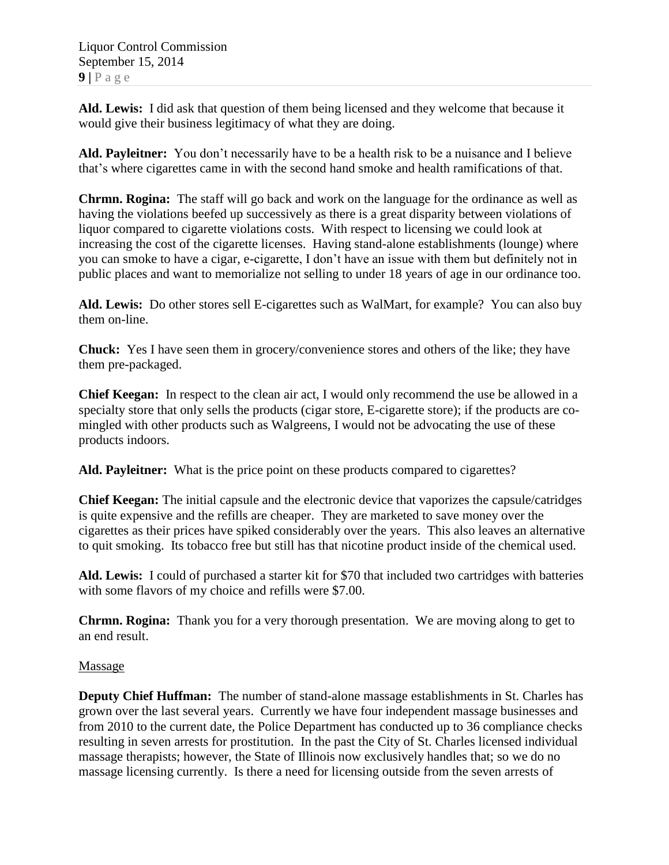**Ald. Lewis:** I did ask that question of them being licensed and they welcome that because it would give their business legitimacy of what they are doing.

**Ald. Payleitner:** You don't necessarily have to be a health risk to be a nuisance and I believe that's where cigarettes came in with the second hand smoke and health ramifications of that.

**Chrmn. Rogina:** The staff will go back and work on the language for the ordinance as well as having the violations beefed up successively as there is a great disparity between violations of liquor compared to cigarette violations costs. With respect to licensing we could look at increasing the cost of the cigarette licenses. Having stand-alone establishments (lounge) where you can smoke to have a cigar, e-cigarette, I don't have an issue with them but definitely not in public places and want to memorialize not selling to under 18 years of age in our ordinance too.

**Ald. Lewis:** Do other stores sell E-cigarettes such as WalMart, for example? You can also buy them on-line.

**Chuck:** Yes I have seen them in grocery/convenience stores and others of the like; they have them pre-packaged.

**Chief Keegan:** In respect to the clean air act, I would only recommend the use be allowed in a specialty store that only sells the products (cigar store, E-cigarette store); if the products are comingled with other products such as Walgreens, I would not be advocating the use of these products indoors.

**Ald. Payleitner:** What is the price point on these products compared to cigarettes?

**Chief Keegan:** The initial capsule and the electronic device that vaporizes the capsule/catridges is quite expensive and the refills are cheaper. They are marketed to save money over the cigarettes as their prices have spiked considerably over the years. This also leaves an alternative to quit smoking. Its tobacco free but still has that nicotine product inside of the chemical used.

**Ald. Lewis:** I could of purchased a starter kit for \$70 that included two cartridges with batteries with some flavors of my choice and refills were \$7.00.

**Chrmn. Rogina:** Thank you for a very thorough presentation. We are moving along to get to an end result.

# Massage

**Deputy Chief Huffman:** The number of stand-alone massage establishments in St. Charles has grown over the last several years. Currently we have four independent massage businesses and from 2010 to the current date, the Police Department has conducted up to 36 compliance checks resulting in seven arrests for prostitution. In the past the City of St. Charles licensed individual massage therapists; however, the State of Illinois now exclusively handles that; so we do no massage licensing currently. Is there a need for licensing outside from the seven arrests of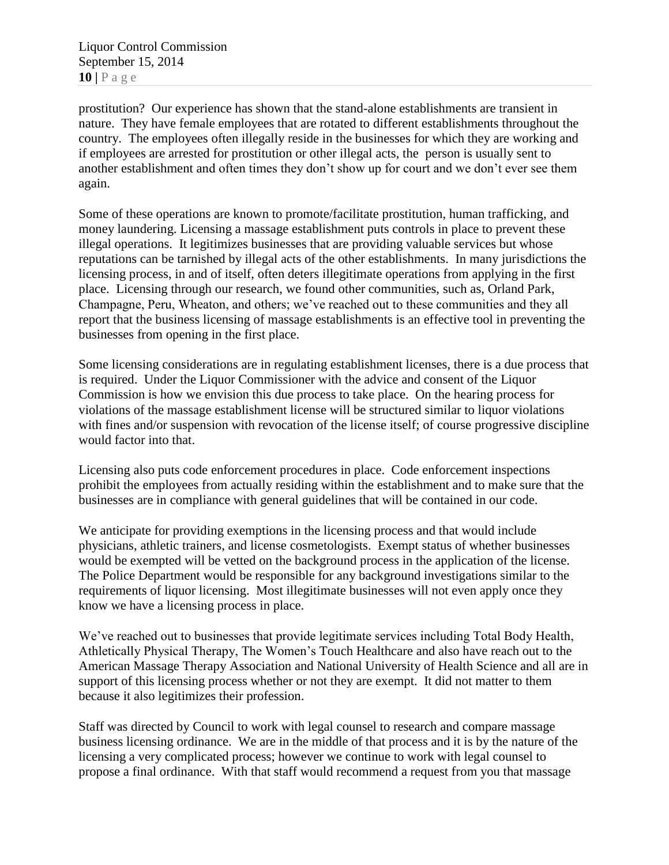Liquor Control Commission September 15, 2014 **10 |** P a g e

prostitution? Our experience has shown that the stand-alone establishments are transient in nature. They have female employees that are rotated to different establishments throughout the country. The employees often illegally reside in the businesses for which they are working and if employees are arrested for prostitution or other illegal acts, the person is usually sent to another establishment and often times they don't show up for court and we don't ever see them again.

Some of these operations are known to promote/facilitate prostitution, human trafficking, and money laundering. Licensing a massage establishment puts controls in place to prevent these illegal operations. It legitimizes businesses that are providing valuable services but whose reputations can be tarnished by illegal acts of the other establishments. In many jurisdictions the licensing process, in and of itself, often deters illegitimate operations from applying in the first place. Licensing through our research, we found other communities, such as, Orland Park, Champagne, Peru, Wheaton, and others; we've reached out to these communities and they all report that the business licensing of massage establishments is an effective tool in preventing the businesses from opening in the first place.

Some licensing considerations are in regulating establishment licenses, there is a due process that is required. Under the Liquor Commissioner with the advice and consent of the Liquor Commission is how we envision this due process to take place. On the hearing process for violations of the massage establishment license will be structured similar to liquor violations with fines and/or suspension with revocation of the license itself; of course progressive discipline would factor into that.

Licensing also puts code enforcement procedures in place. Code enforcement inspections prohibit the employees from actually residing within the establishment and to make sure that the businesses are in compliance with general guidelines that will be contained in our code.

We anticipate for providing exemptions in the licensing process and that would include physicians, athletic trainers, and license cosmetologists. Exempt status of whether businesses would be exempted will be vetted on the background process in the application of the license. The Police Department would be responsible for any background investigations similar to the requirements of liquor licensing. Most illegitimate businesses will not even apply once they know we have a licensing process in place.

We've reached out to businesses that provide legitimate services including Total Body Health, Athletically Physical Therapy, The Women's Touch Healthcare and also have reach out to the American Massage Therapy Association and National University of Health Science and all are in support of this licensing process whether or not they are exempt. It did not matter to them because it also legitimizes their profession.

Staff was directed by Council to work with legal counsel to research and compare massage business licensing ordinance. We are in the middle of that process and it is by the nature of the licensing a very complicated process; however we continue to work with legal counsel to propose a final ordinance. With that staff would recommend a request from you that massage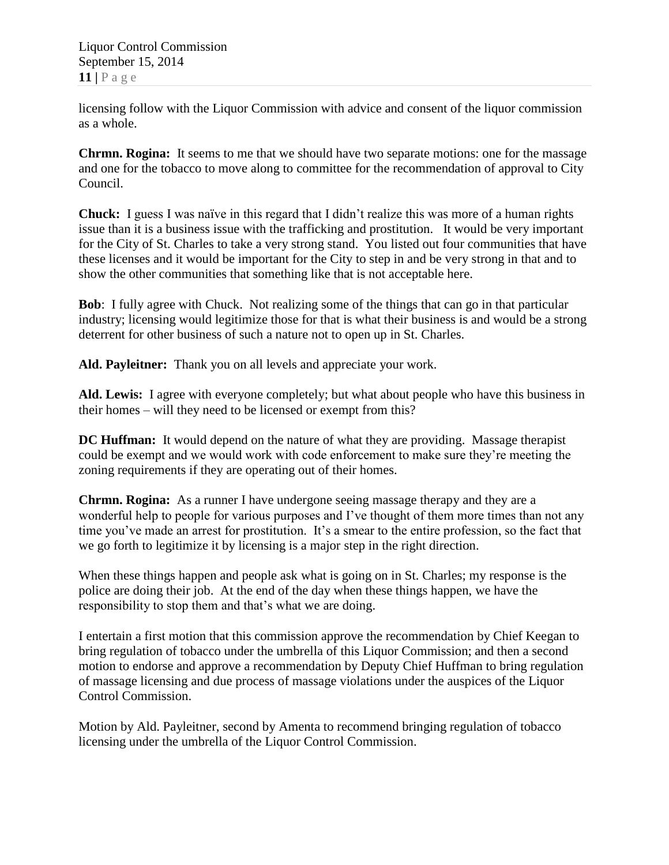licensing follow with the Liquor Commission with advice and consent of the liquor commission as a whole.

**Chrmn. Rogina:** It seems to me that we should have two separate motions: one for the massage and one for the tobacco to move along to committee for the recommendation of approval to City Council.

**Chuck:** I guess I was naïve in this regard that I didn't realize this was more of a human rights issue than it is a business issue with the trafficking and prostitution. It would be very important for the City of St. Charles to take a very strong stand. You listed out four communities that have these licenses and it would be important for the City to step in and be very strong in that and to show the other communities that something like that is not acceptable here.

**Bob**: I fully agree with Chuck. Not realizing some of the things that can go in that particular industry; licensing would legitimize those for that is what their business is and would be a strong deterrent for other business of such a nature not to open up in St. Charles.

**Ald. Payleitner:** Thank you on all levels and appreciate your work.

**Ald. Lewis:** I agree with everyone completely; but what about people who have this business in their homes – will they need to be licensed or exempt from this?

**DC Huffman:** It would depend on the nature of what they are providing. Massage therapist could be exempt and we would work with code enforcement to make sure they're meeting the zoning requirements if they are operating out of their homes.

**Chrmn. Rogina:** As a runner I have undergone seeing massage therapy and they are a wonderful help to people for various purposes and I've thought of them more times than not any time you've made an arrest for prostitution. It's a smear to the entire profession, so the fact that we go forth to legitimize it by licensing is a major step in the right direction.

When these things happen and people ask what is going on in St. Charles; my response is the police are doing their job. At the end of the day when these things happen, we have the responsibility to stop them and that's what we are doing.

I entertain a first motion that this commission approve the recommendation by Chief Keegan to bring regulation of tobacco under the umbrella of this Liquor Commission; and then a second motion to endorse and approve a recommendation by Deputy Chief Huffman to bring regulation of massage licensing and due process of massage violations under the auspices of the Liquor Control Commission.

Motion by Ald. Payleitner, second by Amenta to recommend bringing regulation of tobacco licensing under the umbrella of the Liquor Control Commission.